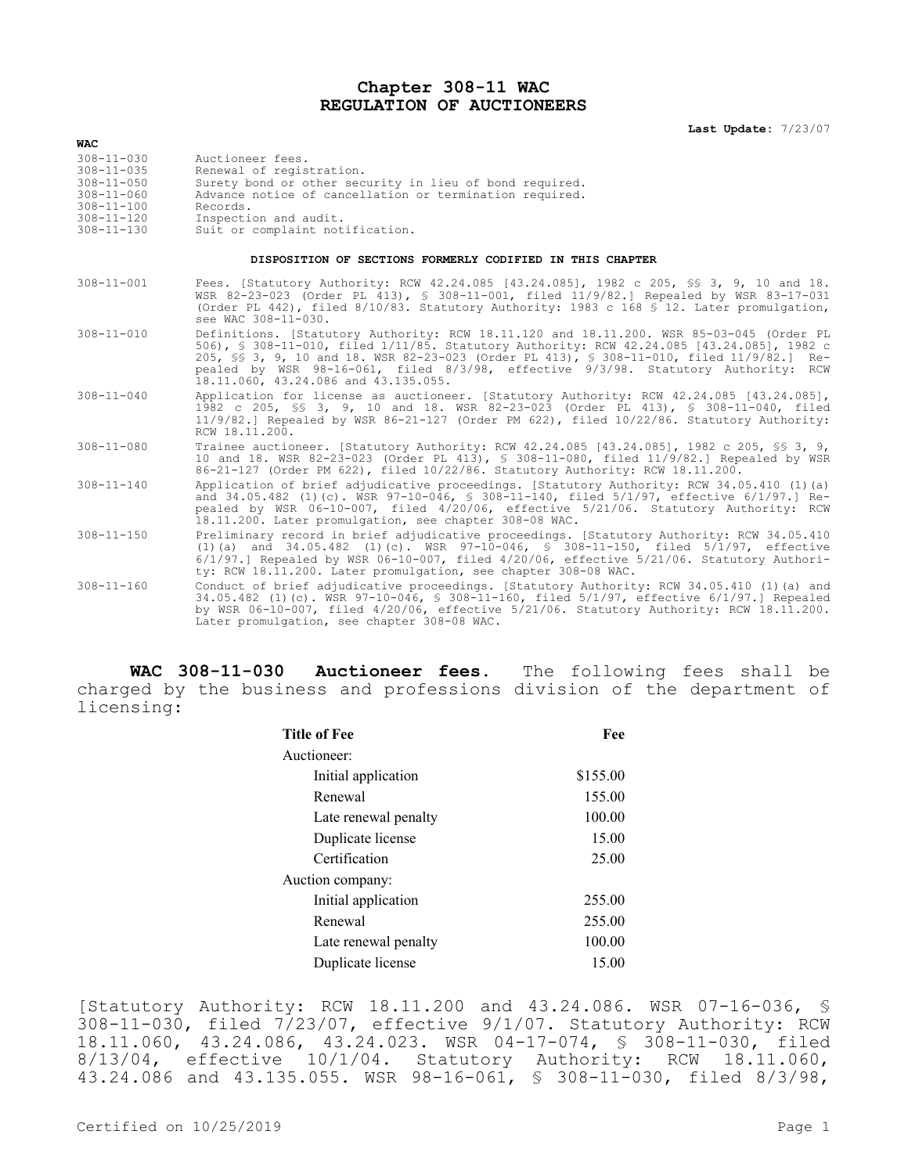## **Chapter 308-11 WAC REGULATION OF AUCTIONEERS**

| <b>WAC</b>                                                                                       |                                                                                                                                                                                                                                                                                                                                                                                                                |  |  |  |  |
|--------------------------------------------------------------------------------------------------|----------------------------------------------------------------------------------------------------------------------------------------------------------------------------------------------------------------------------------------------------------------------------------------------------------------------------------------------------------------------------------------------------------------|--|--|--|--|
| $308 - 11 - 030$<br>$308 - 11 - 035$<br>$308 - 11 - 050$<br>$308 - 11 - 060$<br>$308 - 11 - 100$ | Auctioneer fees.<br>Renewal of registration.<br>Surety bond or other security in lieu of bond required.<br>Advance notice of cancellation or termination required.<br>Records.                                                                                                                                                                                                                                 |  |  |  |  |
| $308 - 11 - 120$<br>$308 - 11 - 130$                                                             | Inspection and audit.<br>Suit or complaint notification.                                                                                                                                                                                                                                                                                                                                                       |  |  |  |  |
| DISPOSITION OF SECTIONS FORMERLY CODIFIED IN THIS CHAPTER                                        |                                                                                                                                                                                                                                                                                                                                                                                                                |  |  |  |  |
| $308 - 11 - 001$                                                                                 | Fees. [Statutory Authority: RCW 42.24.085 [43.24.085], 1982 c 205, SS 3, 9, 10 and 18.<br>WSR 82-23-023 (Order PL 413), § 308-11-001, filed 11/9/82.] Repealed by WSR 83-17-031<br>(Order PL 442), filed 8/10/83. Statutory Authority: 1983 c 168 \$ 12. Later promulgation,<br>see WAC 308-11-030.                                                                                                            |  |  |  |  |
| $308 - 11 - 010$                                                                                 | Definitions. [Statutory Authority: RCW 18.11.120 and 18.11.200. WSR 85-03-045 (Order PL<br>506), § 308-11-010, filed 1/11/85. Statutory Authority: RCW 42.24.085 [43.24.085], 1982 c<br>205, \$§ 3, 9, 10 and 18. WSR 82-23-023 (Order PL 413), § 308-11-010, filed 11/9/82.] Re-<br>pealed by WSR 98-16-061, filed 8/3/98, effective 9/3/98. Statutory Authority: RCW<br>18.11.060, 43.24.086 and 43.135.055. |  |  |  |  |
| $308 - 11 - 040$                                                                                 | Application for license as auctioneer. [Statutory Authority: RCW 42.24.085 [43.24.085],<br>1982 c 205, §§ 3, 9, 10 and 18. WSR 82-23-023 (Order PL 413), § 308-11-040, filed<br>11/9/82.] Repealed by WSR 86-21-127 (Order PM 622), filed 10/22/86. Statutory Authority:<br>RCW 18.11.200.                                                                                                                     |  |  |  |  |
| $308 - 11 - 080$                                                                                 | Trainee auctioneer. [Statutory Authority: RCW 42.24.085 [43.24.085], 1982 c 205, \$\$ 3, 9,<br>10 and 18. WSR 82-23-023 (Order PL 413), § 308-11-080, filed 11/9/82.] Repealed by WSR<br>86-21-127 (Order PM 622), filed 10/22/86. Statutory Authority: RCW 18.11.200.                                                                                                                                         |  |  |  |  |
| $308 - 11 - 140$                                                                                 | Application of brief adjudicative proceedings. [Statutory Authority: RCW 34.05.410 (1) (a)<br>and 34.05.482 (1)(c). WSR 97-10-046, § 308-11-140, filed 5/1/97, effective 6/1/97.] Re-<br>pealed by WSR 06-10-007, filed 4/20/06, effective 5/21/06. Statutory Authority: RCW<br>18.11.200. Later promulgation, see chapter 308-08 WAC.                                                                         |  |  |  |  |
| $308 - 11 - 150$                                                                                 | Preliminary record in brief adjudicative proceedings. [Statutory Authority: RCW 34.05.410<br>(1)(a) and $34.05.482$ (1)(c). WSR $97-10-046$ , § $308-11-150$ , filed $5/1/97$ , effective<br>$6/1/97$ . Repealed by WSR 06-10-007, filed $4/20/06$ , effective $5/21/06$ . Statutory Authori-<br>ty: RCW 18.11.200. Later promulgation, see chapter 308-08 WAC.                                                |  |  |  |  |
| $308 - 11 - 160$                                                                                 | Conduct of brief adjudicative proceedings. [Statutory Authority: RCW 34.05.410 (1) (a) and<br>34.05.482 (1)(c). WSR 97-10-046, § 308-11-160, filed 5/1/97, effective 6/1/97.] Repealed<br>by WSR 06-10-007, filed 4/20/06, effective 5/21/06. Statutory Authority: RCW 18.11.200.<br>Later promulgation, see chapter 308-08 WAC.                                                                               |  |  |  |  |

**WAC 308-11-030 Auctioneer fees.** The following fees shall be charged by the business and professions division of the department of licensing:

| <b>Title of Fee</b>  | Fee      |  |
|----------------------|----------|--|
| Auctioneer:          |          |  |
| Initial application  | \$155.00 |  |
| Renewal              | 155.00   |  |
| Late renewal penalty | 100.00   |  |
| Duplicate license    | 15.00    |  |
| Certification        | 25.00    |  |
| Auction company:     |          |  |
| Initial application  | 255.00   |  |
| Renewal              | 255.00   |  |
| Late renewal penalty | 100.00   |  |
| Duplicate license    | 15.00    |  |

[Statutory Authority: RCW 18.11.200 and 43.24.086. WSR 07-16-036, § 308-11-030, filed 7/23/07, effective 9/1/07. Statutory Authority: RCW 18.11.060, 43.24.086, 43.24.023. WSR 04-17-074, § 308-11-030, filed 8/13/04, effective 10/1/04. Statutory Authority: RCW 18.11.060, 43.24.086 and 43.135.055. WSR 98-16-061, § 308-11-030, filed 8/3/98,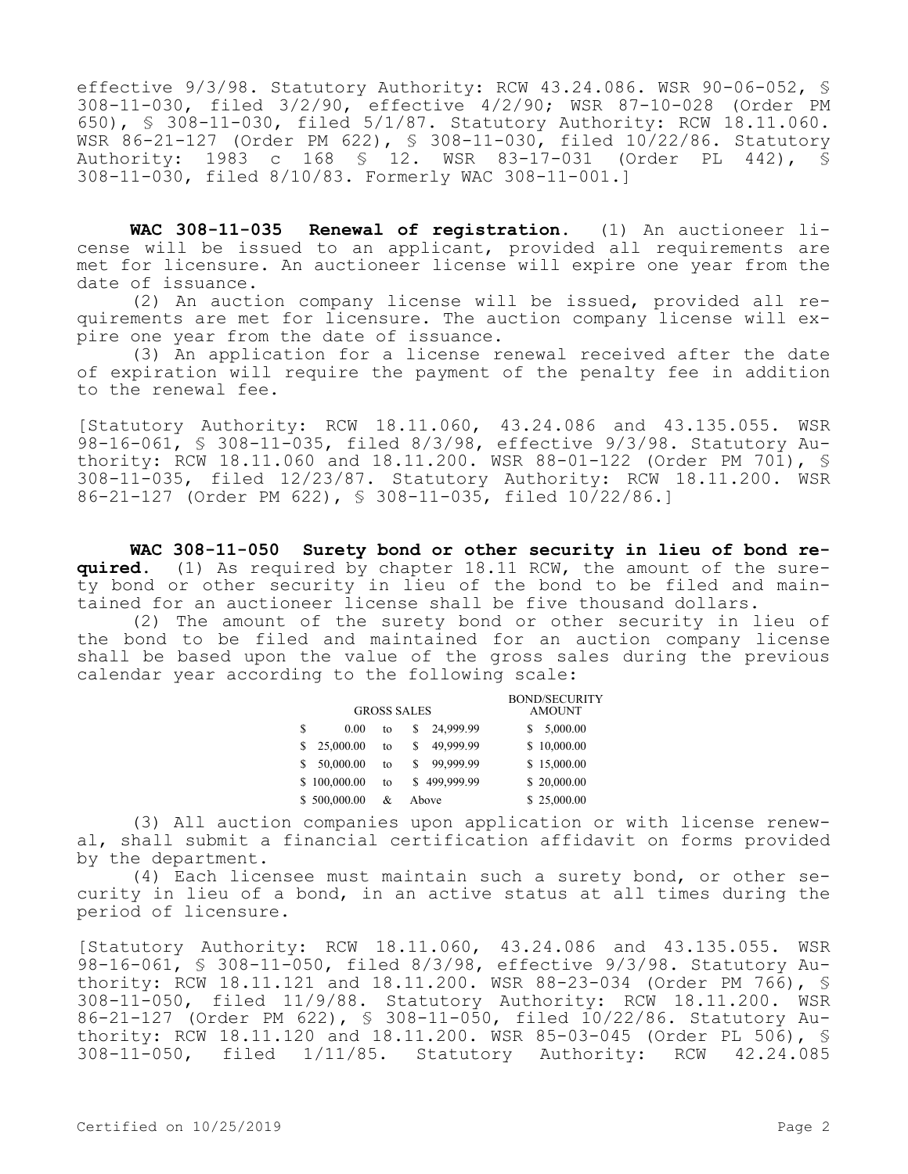effective 9/3/98. Statutory Authority: RCW 43.24.086. WSR 90-06-052, § 308-11-030, filed 3/2/90, effective 4/2/90; WSR 87-10-028 (Order PM 650), § 308-11-030, filed 5/1/87. Statutory Authority: RCW 18.11.060. WSR 86-21-127 (Order PM 622), § 308-11-030, filed 10/22/86. Statutory Authority: 1983 c 168 § 12. WSR 83-17-031 (Order PL 442), § 308-11-030, filed 8/10/83. Formerly WAC 308-11-001.]

**WAC 308-11-035 Renewal of registration.** (1) An auctioneer license will be issued to an applicant, provided all requirements are met for licensure. An auctioneer license will expire one year from the date of issuance.

(2) An auction company license will be issued, provided all requirements are met for licensure. The auction company license will expire one year from the date of issuance.

(3) An application for a license renewal received after the date of expiration will require the payment of the penalty fee in addition to the renewal fee.

[Statutory Authority: RCW 18.11.060, 43.24.086 and 43.135.055. WSR 98-16-061, § 308-11-035, filed 8/3/98, effective 9/3/98. Statutory Authority: RCW 18.11.060 and 18.11.200. WSR 88-01-122 (Order PM 701),  $\frac{1}{5}$ 308-11-035, filed 12/23/87. Statutory Authority: RCW 18.11.200. WSR 86-21-127 (Order PM 622), § 308-11-035, filed 10/22/86.]

**WAC 308-11-050 Surety bond or other security in lieu of bond required.** (1) As required by chapter 18.11 RCW, the amount of the surety bond or other security in lieu of the bond to be filed and maintained for an auctioneer license shall be five thousand dollars.

(2) The amount of the surety bond or other security in lieu of the bond to be filed and maintained for an auction company license shall be based upon the value of the gross sales during the previous calendar year according to the following scale:

| <b>GROSS SALES</b> |              |    |              | <b>BOND/SECURITY</b><br><b>AMOUNT</b> |
|--------------------|--------------|----|--------------|---------------------------------------|
| S                  | 0.00         | to | 24,999.99    | 5,000.00                              |
|                    | 25,000.00    | to | 49,999.99    | \$10,000.00                           |
| S                  | 50,000.00    | to | 99,999.99    | \$15,000.00                           |
|                    | \$100,000.00 | to | \$499,999.99 | \$20,000.00                           |
|                    | \$500,000.00 | &  | Above        | \$25,000.00                           |

(3) All auction companies upon application or with license renewal, shall submit a financial certification affidavit on forms provided by the department.

(4) Each licensee must maintain such a surety bond, or other security in lieu of a bond, in an active status at all times during the period of licensure.

[Statutory Authority: RCW 18.11.060, 43.24.086 and 43.135.055. WSR 98-16-061, § 308-11-050, filed 8/3/98, effective 9/3/98. Statutory Authority: RCW 18.11.121 and 18.11.200. WSR 88-23-034 (Order PM 766), § 308-11-050, filed 11/9/88. Statutory Authority: RCW 18.11.200. WSR 86-21-127 (Order PM 622), § 308-11-050, filed 10/22/86. Statutory Authority: RCW 18.11.120 and 18.11.200. WSR 85-03-045 (Order PL 506), § 308-11-050, filed 1/11/85. Statutory Authority: RCW 42.24.085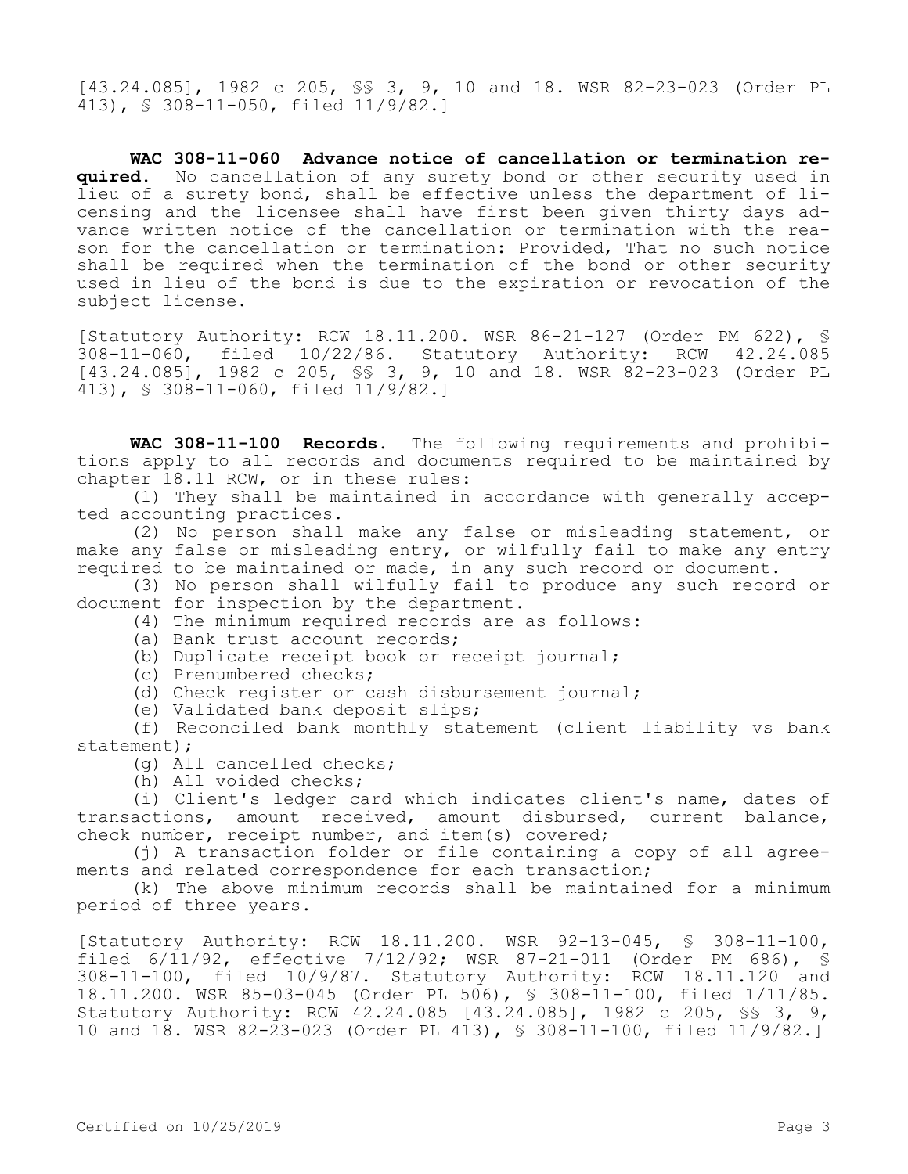[43.24.085], 1982 c 205, §§ 3, 9, 10 and 18. WSR 82-23-023 (Order PL 413), § 308-11-050, filed 11/9/82.]

**WAC 308-11-060 Advance notice of cancellation or termination required.** No cancellation of any surety bond or other security used in lieu of a surety bond, shall be effective unless the department of licensing and the licensee shall have first been given thirty days advance written notice of the cancellation or termination with the reason for the cancellation or termination: Provided, That no such notice shall be required when the termination of the bond or other security used in lieu of the bond is due to the expiration or revocation of the subject license.

[Statutory Authority: RCW 18.11.200. WSR 86-21-127 (Order PM 622), § 308-11-060, filed 10/22/86. Statutory Authority: RCW 42.24.085 [43.24.085], 1982 c 205, §§ 3, 9, 10 and 18. WSR 82-23-023 (Order PL 413), § 308-11-060, filed 11/9/82.]

**WAC 308-11-100 Records.** The following requirements and prohibitions apply to all records and documents required to be maintained by chapter 18.11 RCW, or in these rules:

(1) They shall be maintained in accordance with generally accepted accounting practices.

(2) No person shall make any false or misleading statement, or make any false or misleading entry, or wilfully fail to make any entry required to be maintained or made, in any such record or document.

(3) No person shall wilfully fail to produce any such record or document for inspection by the department.

(4) The minimum required records are as follows:

(a) Bank trust account records;

(b) Duplicate receipt book or receipt journal;

(c) Prenumbered checks;

(d) Check register or cash disbursement journal;

(e) Validated bank deposit slips;

(f) Reconciled bank monthly statement (client liability vs bank statement);

(g) All cancelled checks;

(h) All voided checks;

(i) Client's ledger card which indicates client's name, dates of transactions, amount received, amount disbursed, current balance, check number, receipt number, and item(s) covered;

(i) A transaction folder or file containing a copy of all agreements and related correspondence for each transaction;

(k) The above minimum records shall be maintained for a minimum period of three years.

[Statutory Authority: RCW 18.11.200. WSR 92-13-045, § 308-11-100, filed 6/11/92, effective 7/12/92; WSR 87-21-011 (Order PM 686), § 308-11-100, filed 10/9/87. Statutory Authority: RCW 18.11.120 and 18.11.200. WSR 85-03-045 (Order PL 506), § 308-11-100, filed 1/11/85. Statutory Authority: RCW 42.24.085 [43.24.085], 1982 c 205, §§ 3, 9, 10 and 18. WSR 82-23-023 (Order PL 413), § 308-11-100, filed 11/9/82.]